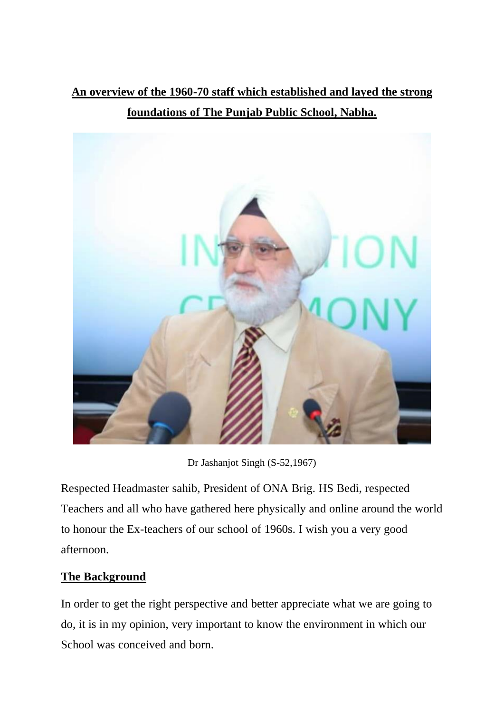**An overview of the 1960-70 staff which established and layed the strong foundations of The Punjab Public School, Nabha.**



Dr Jashanjot Singh (S-52,1967)

Respected Headmaster sahib, President of ONA Brig. HS Bedi, respected Teachers and all who have gathered here physically and online around the world to honour the Ex-teachers of our school of 1960s. I wish you a very good afternoon.

## **The Background**

In order to get the right perspective and better appreciate what we are going to do, it is in my opinion, very important to know the environment in which our School was conceived and born.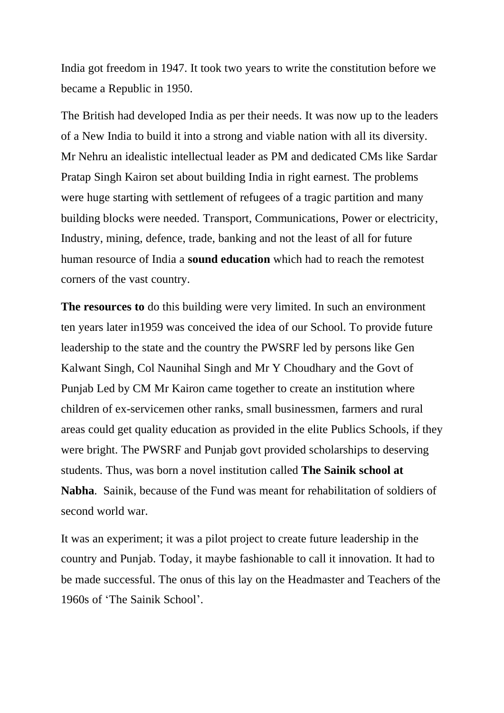India got freedom in 1947. It took two years to write the constitution before we became a Republic in 1950.

The British had developed India as per their needs. It was now up to the leaders of a New India to build it into a strong and viable nation with all its diversity. Mr Nehru an idealistic intellectual leader as PM and dedicated CMs like Sardar Pratap Singh Kairon set about building India in right earnest. The problems were huge starting with settlement of refugees of a tragic partition and many building blocks were needed. Transport, Communications, Power or electricity, Industry, mining, defence, trade, banking and not the least of all for future human resource of India a **sound education** which had to reach the remotest corners of the vast country.

**The resources to** do this building were very limited. In such an environment ten years later in1959 was conceived the idea of our School. To provide future leadership to the state and the country the PWSRF led by persons like Gen Kalwant Singh, Col Naunihal Singh and Mr Y Choudhary and the Govt of Punjab Led by CM Mr Kairon came together to create an institution where children of ex-servicemen other ranks, small businessmen, farmers and rural areas could get quality education as provided in the elite Publics Schools, if they were bright. The PWSRF and Punjab govt provided scholarships to deserving students. Thus, was born a novel institution called **The Sainik school at Nabha**. Sainik, because of the Fund was meant for rehabilitation of soldiers of second world war.

It was an experiment; it was a pilot project to create future leadership in the country and Punjab. Today, it maybe fashionable to call it innovation. It had to be made successful. The onus of this lay on the Headmaster and Teachers of the 1960s of 'The Sainik School'.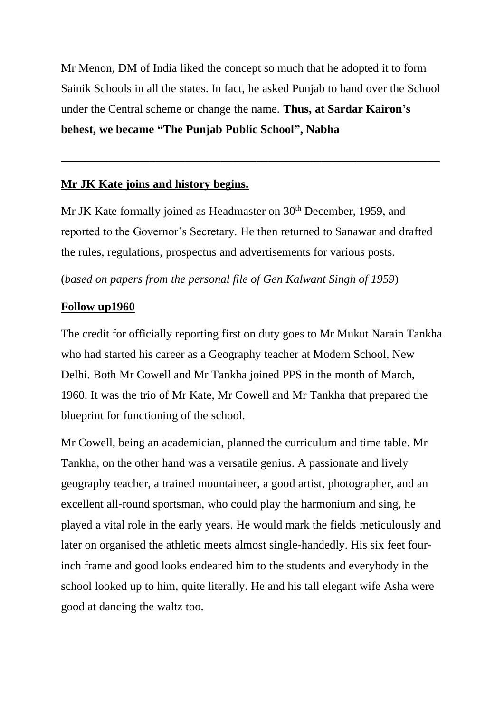Mr Menon, DM of India liked the concept so much that he adopted it to form Sainik Schools in all the states. In fact, he asked Punjab to hand over the School under the Central scheme or change the name. **Thus, at Sardar Kairon's behest, we became "The Punjab Public School", Nabha**

\_\_\_\_\_\_\_\_\_\_\_\_\_\_\_\_\_\_\_\_\_\_\_\_\_\_\_\_\_\_\_\_\_\_\_\_\_\_\_\_\_\_\_\_\_\_\_\_\_\_\_\_\_\_\_\_\_\_\_\_\_\_\_\_

## **Mr JK Kate joins and history begins.**

Mr JK Kate formally joined as Headmaster on 30<sup>th</sup> December, 1959, and reported to the Governor's Secretary. He then returned to Sanawar and drafted the rules, regulations, prospectus and advertisements for various posts.

(*based on papers from the personal file of Gen Kalwant Singh of 1959*)

## **Follow up1960**

The credit for officially reporting first on duty goes to Mr Mukut Narain Tankha who had started his career as a Geography teacher at Modern School, New Delhi. Both Mr Cowell and Mr Tankha joined PPS in the month of March, 1960. It was the trio of Mr Kate, Mr Cowell and Mr Tankha that prepared the blueprint for functioning of the school.

Mr Cowell, being an academician, planned the curriculum and time table. Mr Tankha, on the other hand was a versatile genius. A passionate and lively geography teacher, a trained mountaineer, a good artist, photographer, and an excellent all-round sportsman, who could play the harmonium and sing, he played a vital role in the early years. He would mark the fields meticulously and later on organised the athletic meets almost single-handedly. His six feet fourinch frame and good looks endeared him to the students and everybody in the school looked up to him, quite literally. He and his tall elegant wife Asha were good at dancing the waltz too.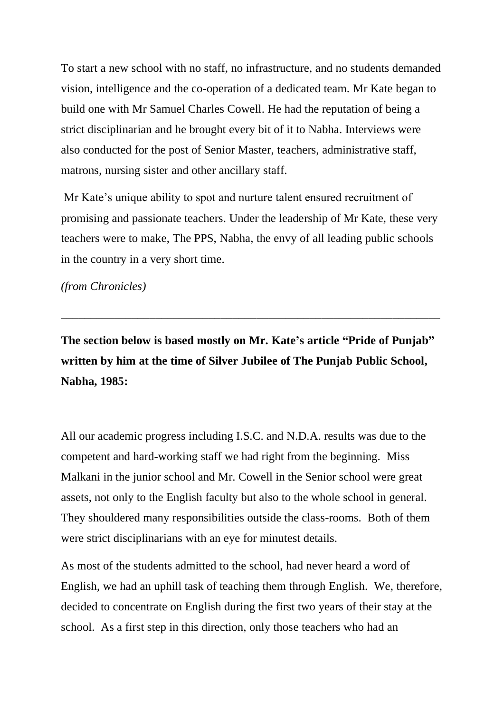To start a new school with no staff, no infrastructure, and no students demanded vision, intelligence and the co-operation of a dedicated team. Mr Kate began to build one with Mr Samuel Charles Cowell. He had the reputation of being a strict disciplinarian and he brought every bit of it to Nabha. Interviews were also conducted for the post of Senior Master, teachers, administrative staff, matrons, nursing sister and other ancillary staff.

Mr Kate's unique ability to spot and nurture talent ensured recruitment of promising and passionate teachers. Under the leadership of Mr Kate, these very teachers were to make, The PPS, Nabha, the envy of all leading public schools in the country in a very short time.

*(from Chronicles)*

**The section below is based mostly on Mr. Kate's article "Pride of Punjab" written by him at the time of Silver Jubilee of The Punjab Public School, Nabha, 1985:**

*\_\_\_\_\_\_\_\_\_\_\_\_\_\_\_\_\_\_\_\_\_\_\_\_\_\_\_\_\_\_\_\_\_\_\_\_\_\_\_\_\_\_\_\_\_\_\_\_\_\_\_\_\_\_\_\_\_\_\_\_\_\_\_\_*

All our academic progress including I.S.C. and N.D.A. results was due to the competent and hard-working staff we had right from the beginning. Miss Malkani in the junior school and Mr. Cowell in the Senior school were great assets, not only to the English faculty but also to the whole school in general. They shouldered many responsibilities outside the class-rooms. Both of them were strict disciplinarians with an eye for minutest details.

As most of the students admitted to the school, had never heard a word of English, we had an uphill task of teaching them through English. We, therefore, decided to concentrate on English during the first two years of their stay at the school. As a first step in this direction, only those teachers who had an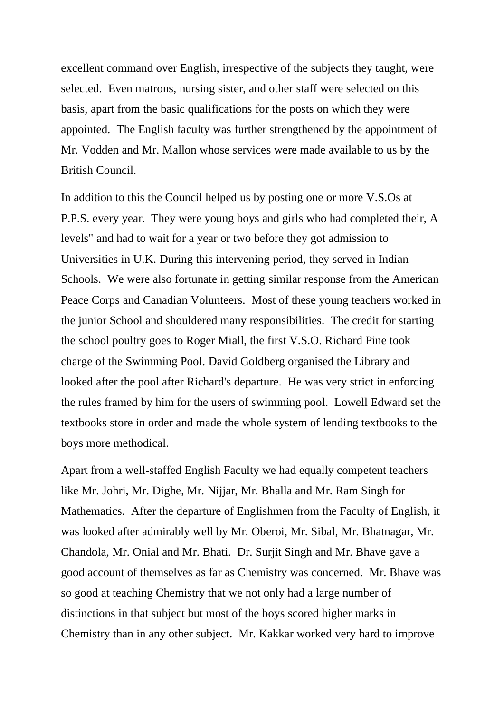excellent command over English, irrespective of the subjects they taught, were selected. Even matrons, nursing sister, and other staff were selected on this basis, apart from the basic qualifications for the posts on which they were appointed. The English faculty was further strengthened by the appointment of Mr. Vodden and Mr. Mallon whose services were made available to us by the British Council.

In addition to this the Council helped us by posting one or more V.S.Os at P.P.S. every year. They were young boys and girls who had completed their, A levels" and had to wait for a year or two before they got admission to Universities in U.K. During this intervening period, they served in Indian Schools. We were also fortunate in getting similar response from the American Peace Corps and Canadian Volunteers. Most of these young teachers worked in the junior School and shouldered many responsibilities. The credit for starting the school poultry goes to Roger Miall, the first V.S.O. Richard Pine took charge of the Swimming Pool. David Goldberg organised the Library and looked after the pool after Richard's departure. He was very strict in enforcing the rules framed by him for the users of swimming pool. Lowell Edward set the textbooks store in order and made the whole system of lending textbooks to the boys more methodical.

Apart from a well-staffed English Faculty we had equally competent teachers like Mr. Johri, Mr. Dighe, Mr. Nijjar, Mr. Bhalla and Mr. Ram Singh for Mathematics. After the departure of Englishmen from the Faculty of English, it was looked after admirably well by Mr. Oberoi, Mr. Sibal, Mr. Bhatnagar, Mr. Chandola, Mr. Onial and Mr. Bhati. Dr. Surjit Singh and Mr. Bhave gave a good account of themselves as far as Chemistry was concerned. Mr. Bhave was so good at teaching Chemistry that we not only had a large number of distinctions in that subject but most of the boys scored higher marks in Chemistry than in any other subject. Mr. Kakkar worked very hard to improve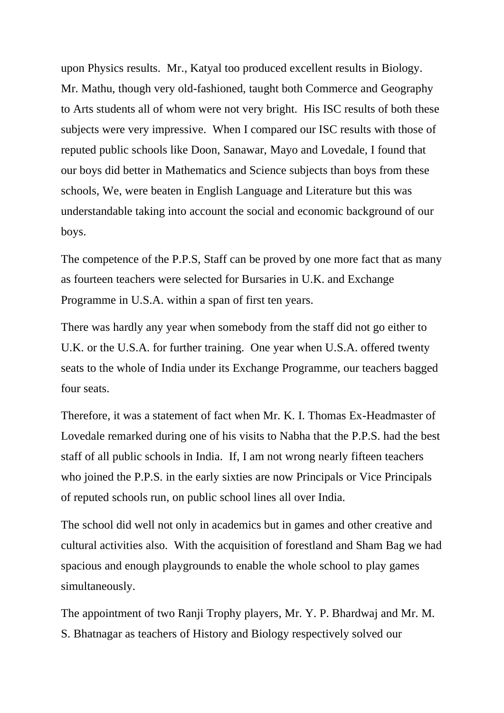upon Physics results. Mr., Katyal too produced excellent results in Biology. Mr. Mathu, though very old-fashioned, taught both Commerce and Geography to Arts students all of whom were not very bright. His ISC results of both these subjects were very impressive. When I compared our ISC results with those of reputed public schools like Doon, Sanawar, Mayo and Lovedale, I found that our boys did better in Mathematics and Science subjects than boys from these schools, We, were beaten in English Language and Literature but this was understandable taking into account the social and economic background of our boys.

The competence of the P.P.S, Staff can be proved by one more fact that as many as fourteen teachers were selected for Bursaries in U.K. and Exchange Programme in U.S.A. within a span of first ten years.

There was hardly any year when somebody from the staff did not go either to U.K. or the U.S.A. for further training. One year when U.S.A. offered twenty seats to the whole of India under its Exchange Programme, our teachers bagged four seats.

Therefore, it was a statement of fact when Mr. K. I. Thomas Ex-Headmaster of Lovedale remarked during one of his visits to Nabha that the P.P.S. had the best staff of all public schools in India. If, I am not wrong nearly fifteen teachers who joined the P.P.S. in the early sixties are now Principals or Vice Principals of reputed schools run, on public school lines all over India.

The school did well not only in academics but in games and other creative and cultural activities also. With the acquisition of forestland and Sham Bag we had spacious and enough playgrounds to enable the whole school to play games simultaneously.

The appointment of two Ranji Trophy players, Mr. Y. P. Bhardwaj and Mr. M. S. Bhatnagar as teachers of History and Biology respectively solved our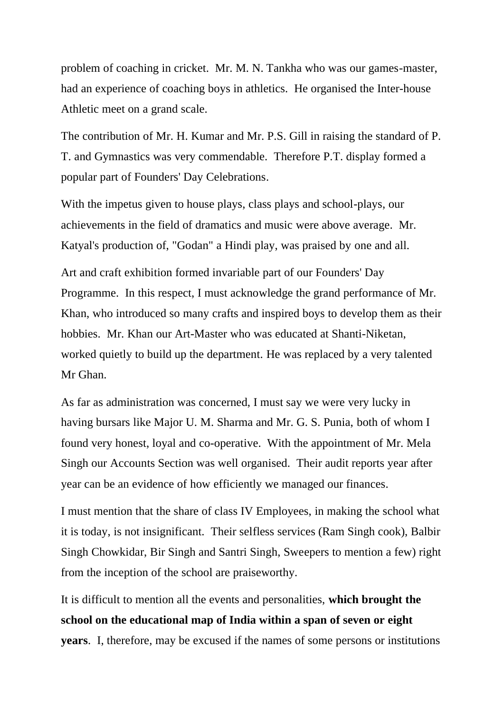problem of coaching in cricket. Mr. M. N. Tankha who was our games-master, had an experience of coaching boys in athletics. He organised the Inter-house Athletic meet on a grand scale.

The contribution of Mr. H. Kumar and Mr. P.S. Gill in raising the standard of P. T. and Gymnastics was very commendable. Therefore P.T. display formed a popular part of Founders' Day Celebrations.

With the impetus given to house plays, class plays and school-plays, our achievements in the field of dramatics and music were above average. Mr. Katyal's production of, "Godan" a Hindi play, was praised by one and all.

Art and craft exhibition formed invariable part of our Founders' Day Programme. In this respect, I must acknowledge the grand performance of Mr. Khan, who introduced so many crafts and inspired boys to develop them as their hobbies. Mr. Khan our Art-Master who was educated at Shanti-Niketan, worked quietly to build up the department. He was replaced by a very talented Mr Ghan.

As far as administration was concerned, I must say we were very lucky in having bursars like Major U. M. Sharma and Mr. G. S. Punia, both of whom I found very honest, loyal and co-operative. With the appointment of Mr. Mela Singh our Accounts Section was well organised. Their audit reports year after year can be an evidence of how efficiently we managed our finances.

I must mention that the share of class IV Employees, in making the school what it is today, is not insignificant. Their selfless services (Ram Singh cook), Balbir Singh Chowkidar, Bir Singh and Santri Singh, Sweepers to mention a few) right from the inception of the school are praiseworthy.

It is difficult to mention all the events and personalities, **which brought the school on the educational map of India within a span of seven or eight years**. I, therefore, may be excused if the names of some persons or institutions